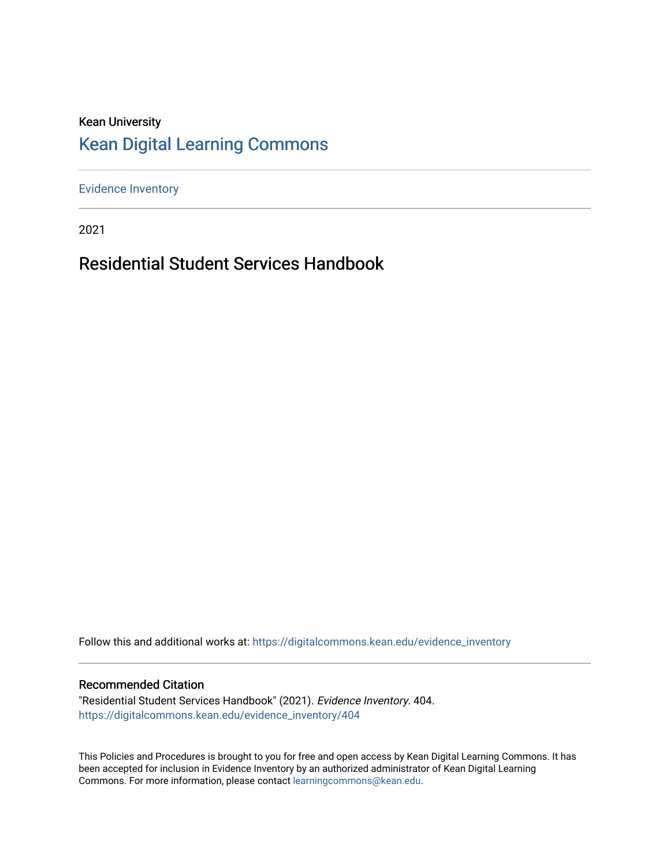### Kean University [Kean Digital Learning Commons](https://digitalcommons.kean.edu/)

[Evidence Inventory](https://digitalcommons.kean.edu/evidence_inventory) 

2021

### Residential Student Services Handbook

Follow this and additional works at: [https://digitalcommons.kean.edu/evidence\\_inventory](https://digitalcommons.kean.edu/evidence_inventory?utm_source=digitalcommons.kean.edu%2Fevidence_inventory%2F404&utm_medium=PDF&utm_campaign=PDFCoverPages)

#### Recommended Citation

"Residential Student Services Handbook" (2021). Evidence Inventory. 404. [https://digitalcommons.kean.edu/evidence\\_inventory/404](https://digitalcommons.kean.edu/evidence_inventory/404?utm_source=digitalcommons.kean.edu%2Fevidence_inventory%2F404&utm_medium=PDF&utm_campaign=PDFCoverPages)

This Policies and Procedures is brought to you for free and open access by Kean Digital Learning Commons. It has been accepted for inclusion in Evidence Inventory by an authorized administrator of Kean Digital Learning Commons. For more information, please contact [learningcommons@kean.edu.](mailto:learningcommons@kean.edu)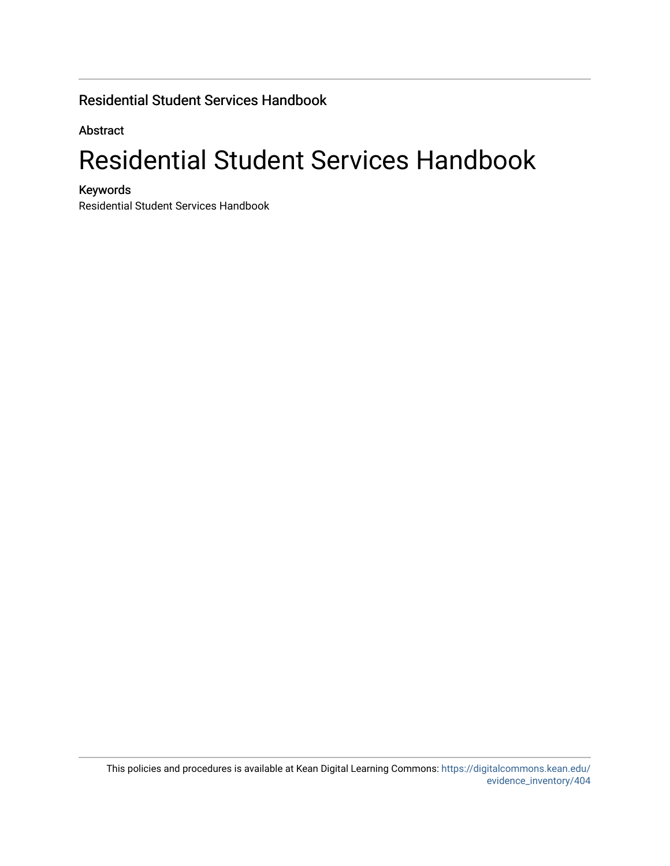### Residential Student Services Handbook

Abstract

## Residential Student Services Handbook

Keywords

Residential Student Services Handbook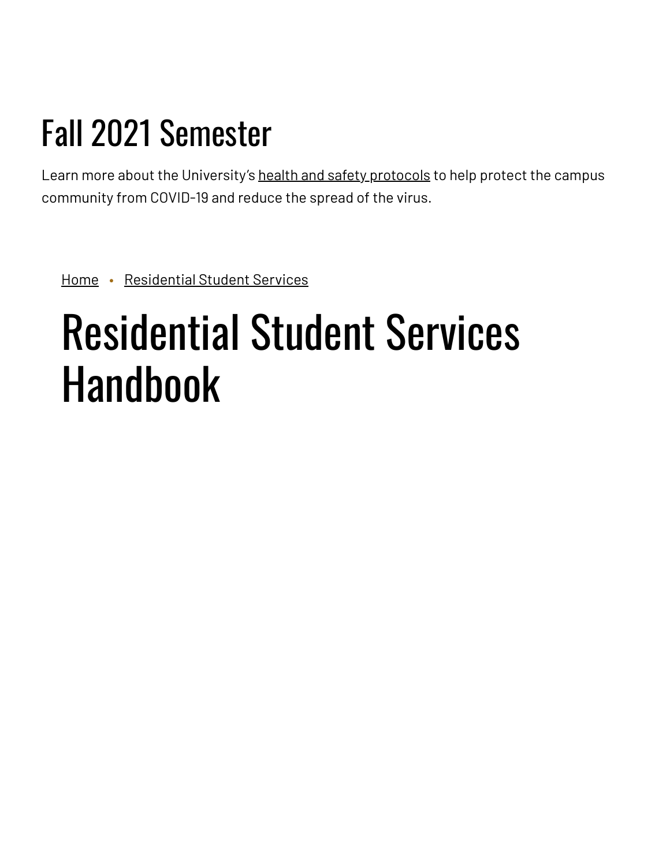# Fall 2021 Semester

Learn more about the University's health and safety [protocols](https://www.kean.edu/welcome-fall-2021-semester) to help protect the campus community from COVID-19 and reduce the spread of the virus.

[Home](https://www.kean.edu/) • [Residential](https://www.kean.edu/rss) Student Services

# Residential Student Services Handbook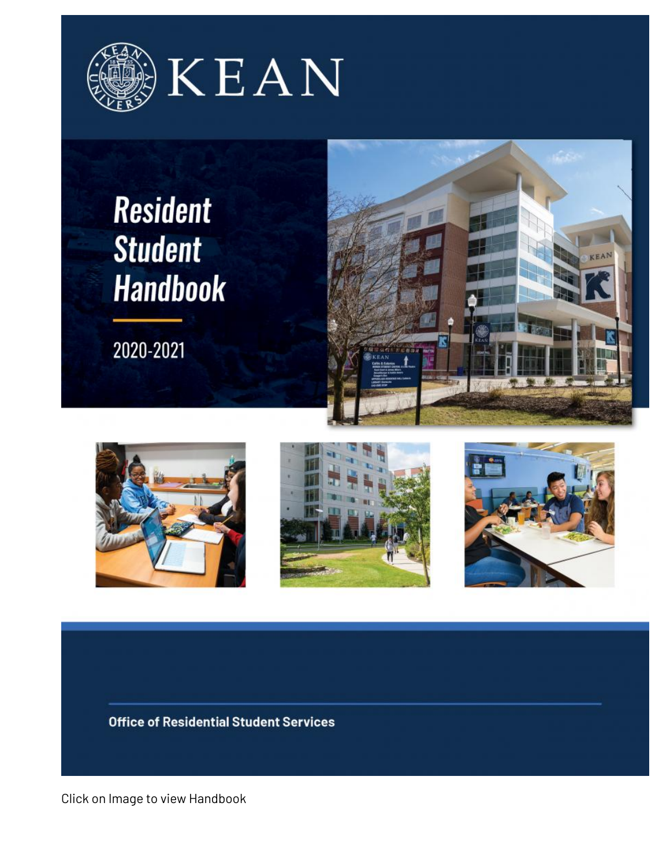

## **Resident Student Handbook**

2020-2021









**Office of Residential Student Services** 

Click on Image to view Handbook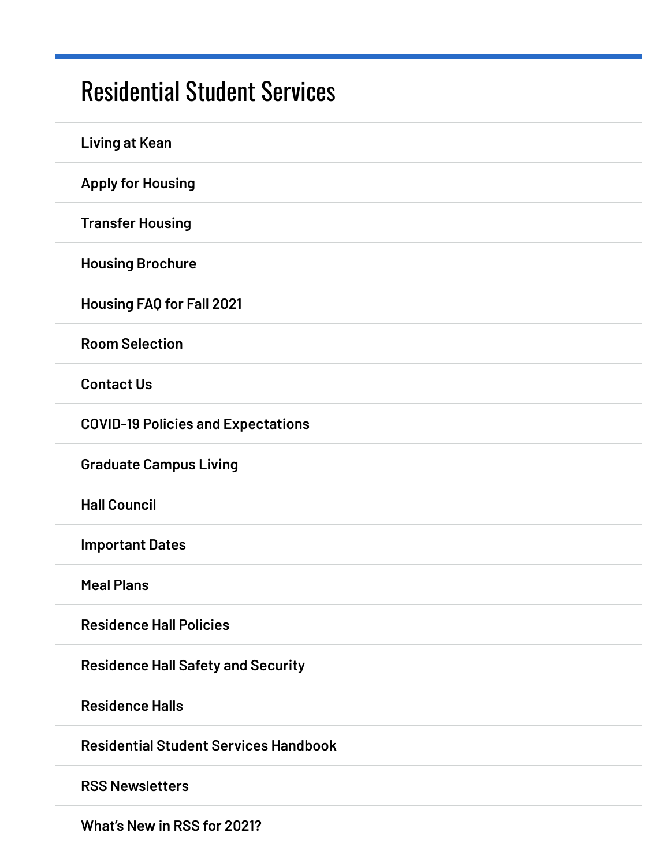### [Residential](https://www.kean.edu/rss) Student Services

| <b>Living at Kean</b>                        |
|----------------------------------------------|
| <b>Apply for Housing</b>                     |
| <b>Transfer Housing</b>                      |
| <b>Housing Brochure</b>                      |
| <b>Housing FAQ for Fall 2021</b>             |
| <b>Room Selection</b>                        |
| <b>Contact Us</b>                            |
| <b>COVID-19 Policies and Expectations</b>    |
| <b>Graduate Campus Living</b>                |
| <b>Hall Council</b>                          |
| <b>Important Dates</b>                       |
| <b>Meal Plans</b>                            |
| <b>Residence Hall Policies</b>               |
| <b>Residence Hall Safety and Security</b>    |
| <b>Residence Halls</b>                       |
| <b>Residential Student Services Handbook</b> |
| <b>RSS Newsletters</b>                       |
|                                              |

**[What's](https://www.kean.edu/rss/whats-new-rss-2021) New in RSS for 2021?**